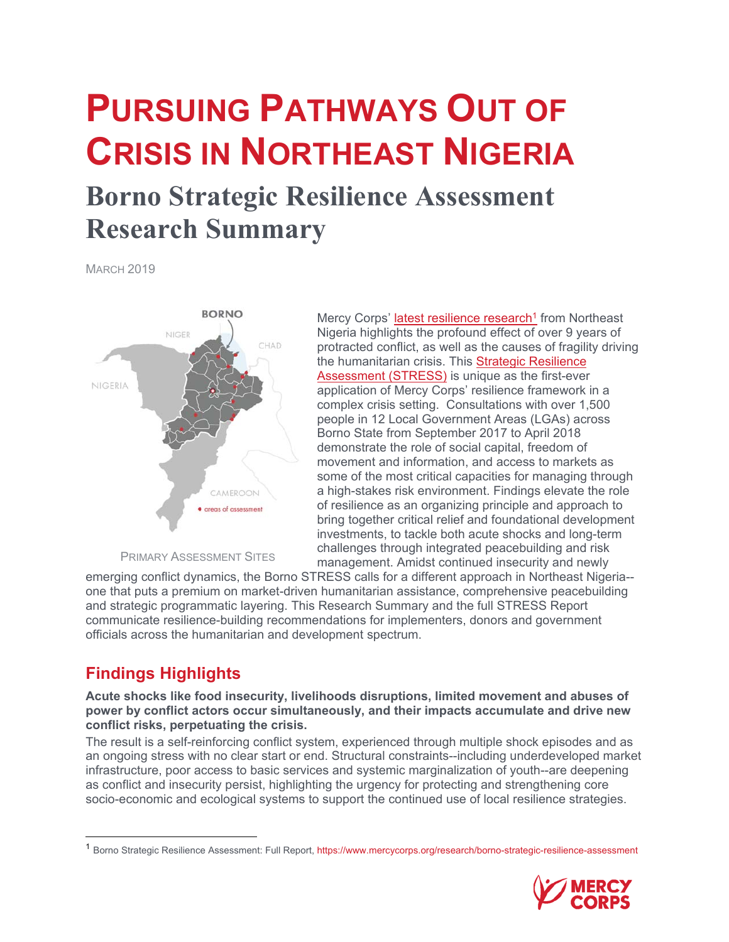# **PURSUING PATHWAYS OUT OF CRISIS IN NORTHEAST NIGERIA**

# **Borno Strategic Resilience Assessment Research Summary**

MARCH 2019



PRIMARY ASSESSMENT SITES

Mercy Corps' latest resilience research<sup>1</sup> from Northeast Nigeria highlights the profound effect of over 9 years of protracted conflict, as well as the causes of fragility driving the humanitarian crisis. This Strategic Resilience Assessment (STRESS) is unique as the first-ever application of Mercy Corps' resilience framework in a complex crisis setting. Consultations with over 1,500 people in 12 Local Government Areas (LGAs) across Borno State from September 2017 to April 2018 demonstrate the role of social capital, freedom of movement and information, and access to markets as some of the most critical capacities for managing through a high-stakes risk environment. Findings elevate the role of resilience as an organizing principle and approach to bring together critical relief and foundational development investments, to tackle both acute shocks and long-term challenges through integrated peacebuilding and risk management. Amidst continued insecurity and newly

emerging conflict dynamics, the Borno STRESS calls for a different approach in Northeast Nigeria- one that puts a premium on market-driven humanitarian assistance, comprehensive peacebuilding and strategic programmatic layering. This Research Summary and the full STRESS Report communicate resilience-building recommendations for implementers, donors and government officials across the humanitarian and development spectrum.

## **Findings Highlights**

**Acute shocks like food insecurity, livelihoods disruptions, limited movement and abuses of power by conflict actors occur simultaneously, and their impacts accumulate and drive new conflict risks, perpetuating the crisis.** 

The result is a self-reinforcing conflict system, experienced through multiple shock episodes and as an ongoing stress with no clear start or end. Structural constraints--including underdeveloped market infrastructure, poor access to basic services and systemic marginalization of youth--are deepening as conflict and insecurity persist, highlighting the urgency for protecting and strengthening core socio-economic and ecological systems to support the continued use of local resilience strategies.

<sup>1</sup> Borno Strategic Resilience Assessment: Full Report, https://www.mercycorps.org/research/borno-strategic-resilience-assessment